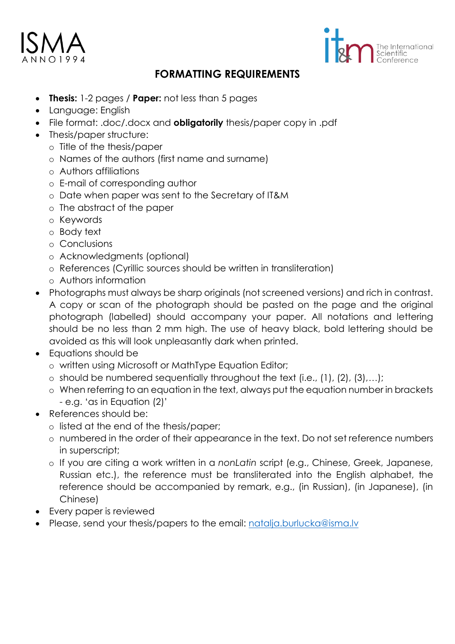



# **FORMATTING REQUIREMENTS**

- **Thesis:** 1-2 pages / **Paper:** not less than 5 pages
- Language: English
- File format: .doc/.docx and **obligatorily** thesis/paper copy in .pdf
- Thesis/paper structure:
	- o Title of the thesis/paper
	- o Names of the authors (first name and surname)
	- o Authors affiliations
	- o E-mail of corresponding author
	- o Date when paper was sent to the Secretary of IT&M
	- o The abstract of the paper
	- o Keywords
	- o Body text
	- o Conclusions
	- o Acknowledgments (optional)
	- o References (Cyrillic sources should be written in transliteration)
	- o Authors information
- Photographs must always be sharp originals (not screened versions) and rich in contrast. A copy or scan of the photograph should be pasted on the page and the original photograph (labelled) should accompany your paper. All notations and lettering should be no less than 2 mm high. The use of heavy black, bold lettering should be avoided as this will look unpleasantly dark when printed.
- Equations should be
	- o written using Microsoft or MathType Equation Editor;
	- $\circ$  should be numbered sequentially throughout the text (i.e., (1), (2), (3),...);
	- o When referring to an equation in the text, always put the equation number in brackets - e.g. 'as in Equation (2)'
- References should be:
	- o listed at the end of the thesis/paper;
		- o numbered in the order of their appearance in the text. Do not set reference numbers in superscript;
		- o If you are citing a work written in a *nonLatin* script (e.g., Chinese, Greek, Japanese, Russian etc.), the reference must be transliterated into the English alphabet, the reference should be accompanied by remark, e.g., (in Russian), (in Japanese), (in Chinese)
- Every paper is reviewed
- Please, send your thesis/papers to the email: natalia.burlucka@isma.lv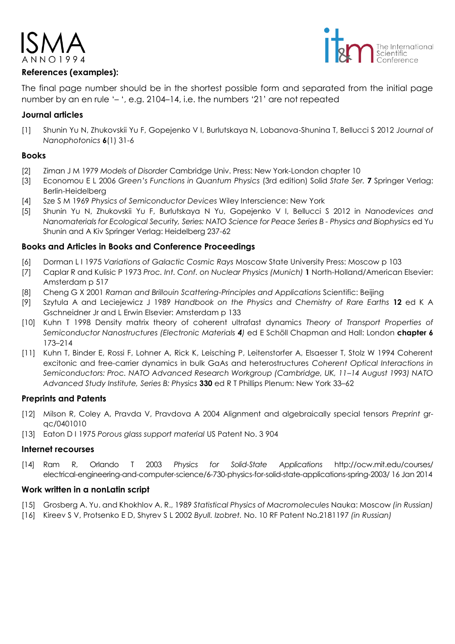

# **References (examples):**



The final page number should be in the shortest possible form and separated from the initial page number by an en rule '– ', e.g. 2104–14, i.e. the numbers '21' are not repeated

# **Journal articles**

[1] Shunin Yu N, Zhukovskii Yu F, Gopejenko V I, Burlutskaya N, Lobanova-Shunina T, Bellucci S 2012 *Journal of Nanophotonics* **6**(1) 31-6

## **Books**

- [2] Ziman J M 1979 *Models of Disorder* Cambridge Univ. Press: New York-London chapter 10
- [3] Economou E L 2006 *Green's Functions in Quantum Physics* (3rd edition) Solid *State Ser.* **7** Springer Verlag: Berlin-Heidelberg
- [4] Sze S M 1969 *Physics of Semiconductor Devices* Wiley Interscience: New York
- [5] Shunin Yu N, Zhukovskii Yu F, Burlutskaya N Yu, Gopejenko V I, Bellucci S 2012 in *Nanodevices and Nanomaterials for Ecological Security, Series: NATO Science for Peace Series B - Physics and Biophysics* ed Yu Shunin and A Kiv Springer Verlag: Heidelberg 237-62

# **Books and Articles in Books and Conference Proceedings**

- [6] Dorman L I 1975 *Variations of Galactic Cosmic Rays* Moscow State University Press: Moscow p 103
- [7] Caplar R and Kulisic P 1973 *Proc. Int. Conf. on Nuclear Physics (Munich)* **1** North-Holland/American Elsevier: Amsterdam p 517
- [8] Cheng G X 2001 *Raman and Brillouin Scattering-Principles and Applications* Scientific: Beijing
- [9] Szytula A and Leciejewicz J 1989 *Handbook on the Physics and Chemistry of Rare Earths* **12** ed K A Gschneidner Jr and L Erwin Elsevier: Amsterdam p 133
- [10] Kuhn T 1998 Density matrix theory of coherent ultrafast dynamics *Theory of Transport Properties of Semiconductor Nanostructures (Electronic Materials 4)* ed E Schöll Chapman and Hall: London **chapter 6** 173–214
- [11] Kuhn T, Binder E, Rossi F, Lohner A, Rick K, Leisching P, Leitenstorfer A, Elsaesser T, Stolz W 1994 Coherent excitonic and free-carrier dynamics in bulk GaAs and heterostructures *Coherent Optical Interactions in Semiconductors: Proc. NATO Advanced Research Workgroup (Cambridge, UK, 11–14 August 1993) NATO Advanced Study Institute, Series B: Physics* **330** ed R T Phillips Plenum: New York 33–62

# **Preprints and Patents**

- [12] Milson R, Coley A, Pravda V, Pravdova A 2004 Alignment and algebraically special tensors *Preprint* grqc/0401010
- [13] Eaton D I 1975 *Porous glass support material* US Patent No. 3 904

# **Internet recourses**

[14] Ram R, Orlando T 2003 *Physics for Solid-State Applications* http://ocw.mit.edu/courses/ electrical-engineering-and-computer-science/6-730-physics-for-solid-state-applications-spring-2003/ 16 Jan 2014

### **Work written in a nonLatin script**

- [15] Grosberg A. Yu. and Khokhlov A. R., 1989 *Statistical Physics of Macromolecules* Nauka: Moscow *(in Russian)*
- [16] Kireev S V, Protsenko E D, Shyrev S L 2002 *Byull. Izobret.* No. 10 RF Patent No.2181197 *(in Russian)*